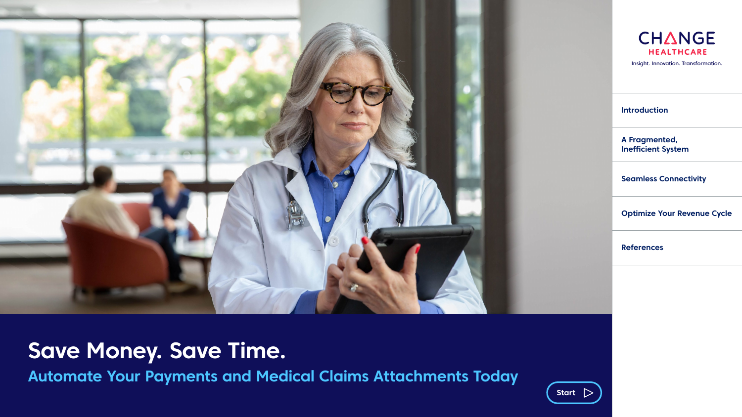<span id="page-0-0"></span>

## **Save Money. Save Time.**

**Automate Your Payments and Medical Claims Attachments Today**

Start  $\triangleright$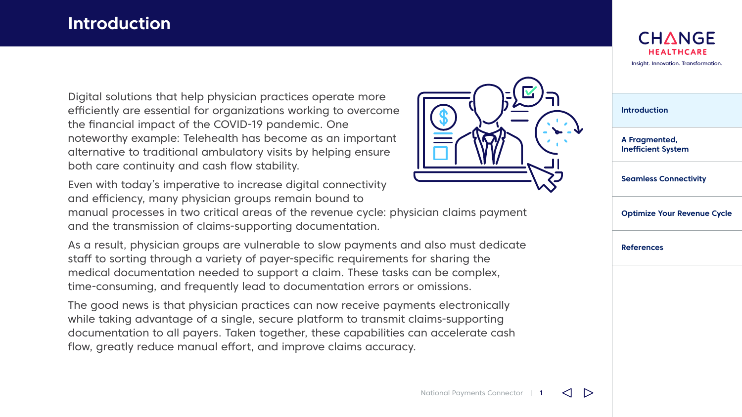### <span id="page-1-0"></span>**Introduction**

Digital solutions that help physician practices operate more efficiently are essential for organizations working to overcome the financial impact of the COVID-19 pandemic. One noteworthy example: Telehealth has become as an important alternative to traditional ambulatory visits by helping ensure both care continuity and cash flow stability.



Even with today's imperative to increase digital connectivity and efficiency, many physician groups remain bound to

manual processes in two critical areas of the revenue cycle: physician claims payment and the transmission of claims-supporting documentation.

As a result, physician groups are vulnerable to slow payments and also must dedicate staff to sorting through a variety of payer-specific requirements for sharing the medical documentation needed to support a claim. These tasks can be complex, time-consuming, and frequently lead to documentation errors or omissions.

The good news is that physician practices can now receive payments electronically while taking advantage of a single, secure platform to transmit claims-supporting documentation to all payers. Taken together, these capabilities can accelerate cash flow, greatly reduce manual effort, and improve claims accuracy.



| <b>Introduction</b>                        |
|--------------------------------------------|
| A Fragmented,<br><b>Inefficient System</b> |
| <b>Seamless Connectivity</b>               |
| <b>Optimize Your Revenue Cycle</b>         |
| <b>References</b>                          |
|                                            |
|                                            |

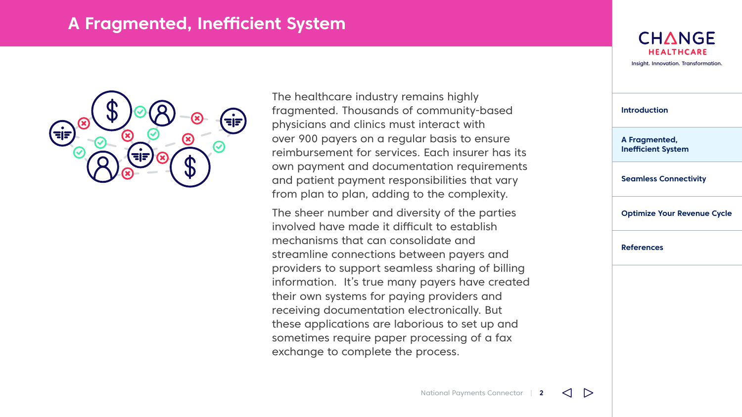### <span id="page-2-0"></span>**A Fragmented, Inefficient System**



The healthcare industry remains highly fragmented. Thousands of community-based physicians and clinics must interact with over 900 payers on a regular basis to ensure reimbursement for services. Each insurer has its own payment and documentation requirements and patient payment responsibilities that vary from plan to plan, adding to the complexity.

The sheer number and diversity of the parties involved have made it difficult to establish mechanisms that can consolidate and streamline connections between payers and providers to support seamless sharing of billing information. It's true many payers have created their own systems for paying providers and receiving documentation electronically. But these applications are laborious to set up and sometimes require paper processing of a fax exchange to complete the process.



| <b>Introduction</b>                        |
|--------------------------------------------|
| A Fragmented,<br><b>Inefficient System</b> |
| <b>Seamless Connectivity</b>               |
| <b>Optimize Your Revenue Cycle</b>         |
| <b>References</b>                          |
|                                            |

 $\triangleright$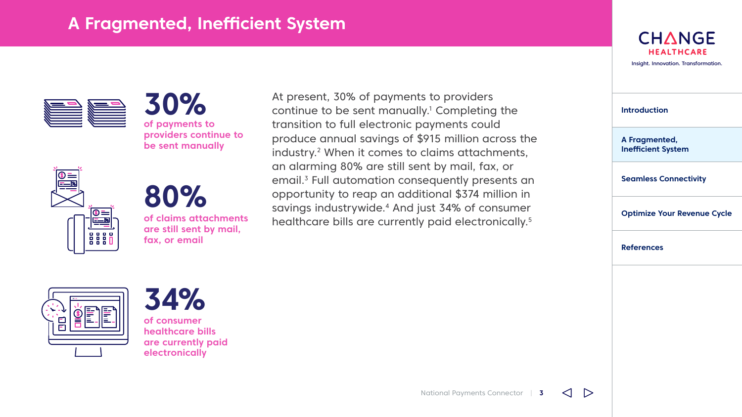## **A Fragmented, Inefficient System**



**30% of payments to providers continue to be sent manually**



# **80%**

**of claims attachments are still sent by mail, fax, or email**

At present, 30% of payments to providers continue to be sent manually.<sup>1</sup> Completing the transition to full electronic payments could produce annual savings of \$915 million across the industry.<sup>2</sup> When it comes to claims attachments, an alarming 80% are still sent by mail, fax, or email.<sup>3</sup> Full automation consequently presents an opportunity to reap an additional \$374 million in savings industrywide.4 And just 34% of consumer healthcare bills are currently paid electronically.<sup>5</sup>

**CHANGE HEALTHCARE** [Insight. Innovation. Transformation.](#page-0-0)

| <b>Introduction</b>                        |
|--------------------------------------------|
| A Fragmented,<br><b>Inefficient System</b> |
| <b>Seamless Connectivity</b>               |
| <b>Optimize Your Revenue Cycle</b>         |
| <b>References</b>                          |
|                                            |





**of consumer healthcare bills are currently paid electronically**

 $\triangleright$ 

⊲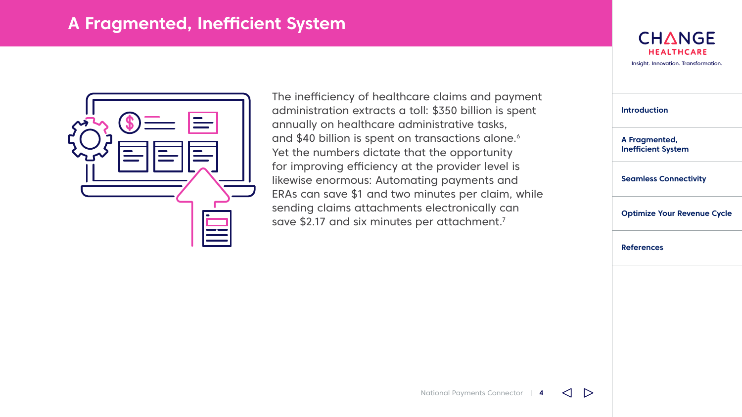#### **A Fragmented, Inefficient System**



The inefficiency of healthcare claims and payment administration extracts a toll: \$350 billion is spent annually on healthcare administrative tasks, and \$40 billion is spent on transactions alone.<sup>6</sup> Yet the numbers dictate that the opportunity for improving efficiency at the provider level is likewise enormous: Automating payments and ERAs can save \$1 and two minutes per claim, while sending claims attachments electronically can save \$2.17 and six minutes per attachment.<sup>7</sup>

**CHANGE HEALTHCARE** [Insight. Innovation. Transformation.](#page-0-0)

| <b>Introduction</b>                        |
|--------------------------------------------|
| A Fragmented,<br><b>Inefficient System</b> |
| <b>Seamless Connectivity</b>               |
| <b>Optimize Your Revenue Cycle</b>         |
| References                                 |
|                                            |

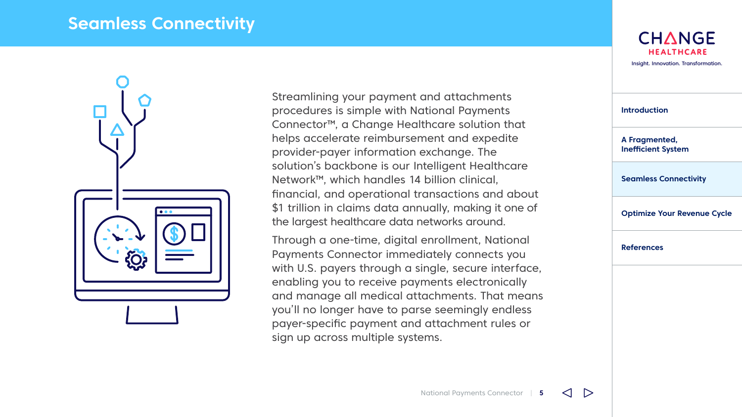#### <span id="page-5-0"></span>**Seamless Connectivity**



Streamlining your payment and attachments procedures is simple with National Payments Connector™, a Change Healthcare solution that helps accelerate reimbursement and expedite provider-payer information exchange. The solution's backbone is our Intelligent Healthcare Network™, which handles 14 billion clinical, financial, and operational transactions and about \$1 trillion in claims data annually, making it one of the largest healthcare data networks around.

Through a one-time, digital enrollment, National Payments Connector immediately connects you with U.S. payers through a single, secure interface, enabling you to receive payments electronically and manage all medical attachments. That means you'll no longer have to parse seemingly endless payer-specific payment and attachment rules or sign up across multiple systems.

**CHANGE HEALTHCARE** [Insight. Innovation. Transformation.](#page-0-0)

| <b>Introduction</b>                        |
|--------------------------------------------|
| A Fragmented,<br><b>Inefficient System</b> |
| <b>Seamless Connectivity</b>               |
| <b>Optimize Your Revenue Cycle</b>         |
| <b>References</b>                          |
|                                            |

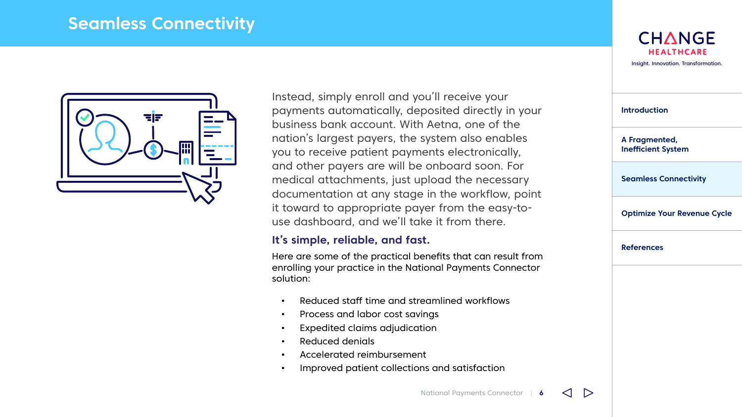#### **Seamless Connectivity**



Instead, simply enroll and you'll receive your payments automatically, deposited directly in your business bank account. With Aetna, one of the nation's largest payers, the system also enables you to receive patient payments electronically, and other payers are will be onboard soon. For medical attachments, just upload the necessary documentation at any stage in the workflow, point it toward to appropriate payer from the easy-touse dashboard, and we'll take it from there.

#### **It's simple, reliable, and fast.**

Here are some of the practical benefits that can result from enrolling your practice in the National Payments Connector solution:

- Reduced staff time and streamlined workflows
- Process and labor cost savings
- Expedited claims adjudication
- Reduced denials
- Accelerated reimbursement
- Improved patient collections and satisfaction

| <b>Introduction</b>                        |
|--------------------------------------------|
| A Fragmented,<br><b>Inefficient System</b> |
| <b>Seamless Connectivity</b>               |
| <b>Optimize Your Revenue Cycle</b>         |
| References                                 |

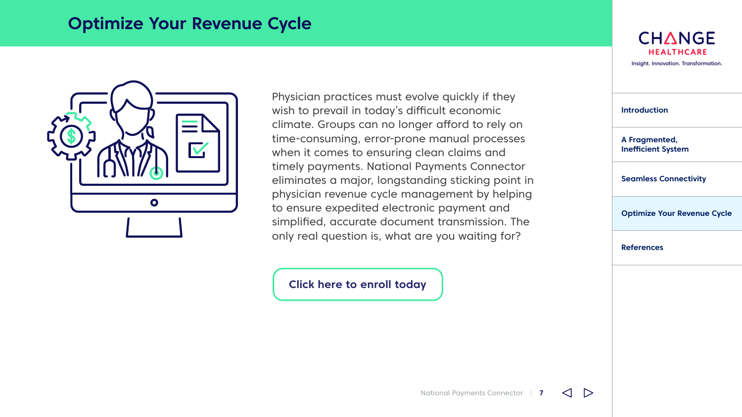#### <span id="page-7-0"></span>**Optimize Your Revenue Cycle**



Physician practices must evolve quickly if they wish to prevail in today's difficult economic climate. Groups can no longer afford to rely on time-consuming, error-prone manual processes when it comes to ensuring clean claims and timely payments. National Payments Connector eliminates a major, longstanding sticking point in physician revenue cycle management by helping to ensure expedited electronic payment and simplified, accurate document transmission. The only real question is, what are you waiting for?

**[Click here to enroll today](https://paymentsconnector.changehealthcare.com/?promo=AD12)** 



| <b>Introduction</b>                        |
|--------------------------------------------|
| A Fragmented,<br><b>Inefficient System</b> |
| <b>Seamless Connectivity</b>               |
| <b>Optimize Your Revenue Cycle</b>         |
| <b>References</b>                          |
|                                            |

National Payments Connector | **7**